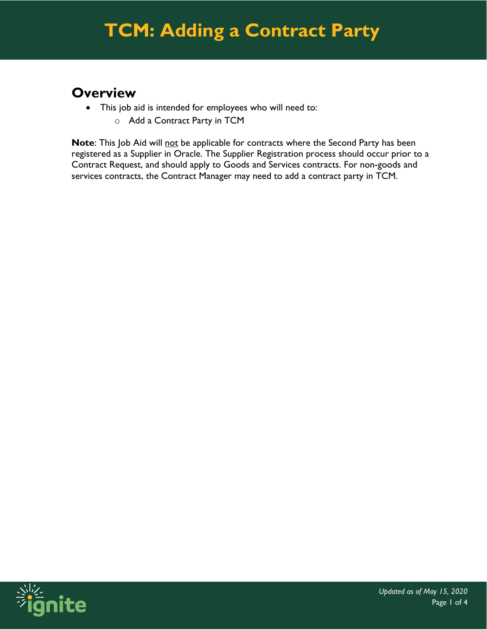# **TCM: Adding a Contract Party**

#### **Overview**

- This job aid is intended for employees who will need to:
	- o Add a Contract Party in TCM

**Note**: This Job Aid will not be applicable for contracts where the Second Party has been registered as a Supplier in Oracle. The Supplier Registration process should occur prior to a Contract Request, and should apply to Goods and Services contracts. For non-goods and services contracts, the Contract Manager may need to add a contract party in TCM.

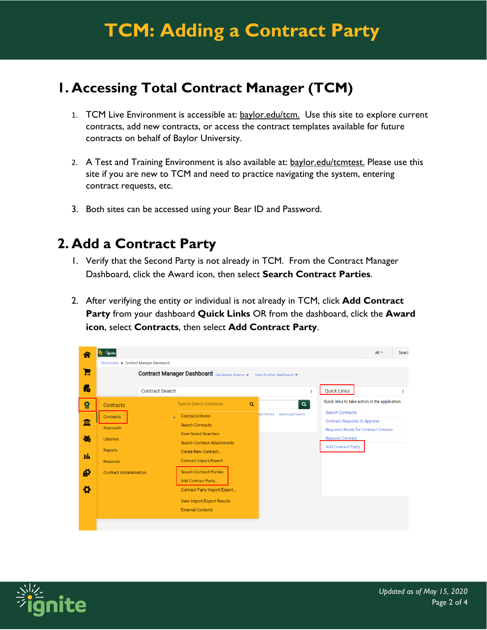### **1. Accessing Total Contract Manager (TCM)**

- 1. TCM Live Environment is accessible at: baylor.edu/tcm. Use this site to explore current contracts, add new contracts, or access the contract templates available for future contracts on behalf of Baylor University..
- 2. A Test and Training Environment is also available at: baylor.edu/tcmtest. Please use this site if you are new to TCM and need to practice navigating the system, entering contract requests, etc.
- 3. Both sites can be accessed using your Bear ID and Password.

#### **2. Add a Contract Party**

- 1. Verify that the Second Party is not already in TCM. From the Contract Manager Dashboard, click the Award icon, then select **Search Contract Parties**.
- 2. After verifying the entity or individual is not already in TCM, click **Add Contract Party** from your dashboard **Quick Links** OR from the dashboard, click the **Award icon**, select **Contracts**, then select **Add Contract Party**.

| ☎                                 | ignite                                                                                                                                                                                        |                                                                                                                                                                                                                                                                                                                                                                                | $All -$<br>Search                                                                                                                                                                                                                                                                     |  |  |  |  |
|-----------------------------------|-----------------------------------------------------------------------------------------------------------------------------------------------------------------------------------------------|--------------------------------------------------------------------------------------------------------------------------------------------------------------------------------------------------------------------------------------------------------------------------------------------------------------------------------------------------------------------------------|---------------------------------------------------------------------------------------------------------------------------------------------------------------------------------------------------------------------------------------------------------------------------------------|--|--|--|--|
| Ξ<br>í.                           | Dashboards > Contract Manager Dashboard<br><b>Contract Manager Dashboard</b> Dashboard Actions $\blacktriangledown$<br>View Another Dashboard<br><b>Quick Links</b><br><b>Contract Search</b> |                                                                                                                                                                                                                                                                                                                                                                                |                                                                                                                                                                                                                                                                                       |  |  |  |  |
| $\Omega$<br>垂<br>卷<br>ш<br>ä<br>ö | <b>Contracts</b><br>Contracts<br>Approvals<br>Libraries<br><b>Reports</b><br><b>Requests</b><br><b>Contract Administration</b>                                                                | Type to Search Contracts<br>Q<br>act Parties<br><b>Contracts Home</b><br><b>Search Contracts</b><br><b>View Saved Searches</b><br><b>Search Contract Attachments</b><br>Create New Contract<br>Contract Import/Export<br><b>Search Contract Parties</b><br><b>Add Contract Party</b><br>Contract Party Import/Export<br>View Import/Export Results<br><b>External Contacts</b> | $\overline{\mathbf{r}}$<br>?<br>Quick links to take action in the application<br>$\alpha$<br><b>Search Contracts</b><br><b>Advanced Search</b><br><b>Contract Requests to Approve</b><br><b>Requests Ready for Contract Creation</b><br><b>Request Contract</b><br>Add Contract Party |  |  |  |  |
|                                   |                                                                                                                                                                                               |                                                                                                                                                                                                                                                                                                                                                                                |                                                                                                                                                                                                                                                                                       |  |  |  |  |

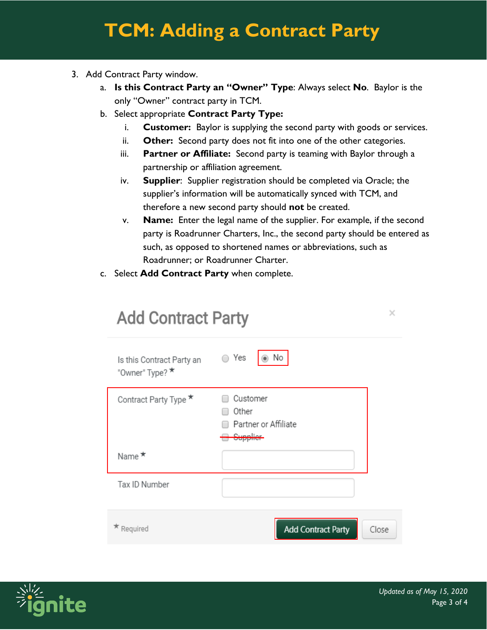# **TCM: Adding a Contract Party**

- 3. Add Contract Party window.
	- a. **Is this Contract Party an "Owner" Type**: Always select **No**. Baylor is the only "Owner" contract party in TCM.
	- b. Select appropriate **Contract Party Type:**
		- i. **Customer:** Baylor is supplying the second party with goods or services.
		- ii. **Other:** Second party does not fit into one of the other categories.
		- iii. **Partner or Affiliate:** Second party is teaming with Baylor through a partnership or affiliation agreement.
		- iv. **Supplier**: Supplier registration should be completed via Oracle; the supplier's information will be automatically synced with TCM, and therefore a new second party should **not** be created.
		- v. **Name:** Enter the legal name of the supplier. For example, if the second party is Roadrunner Charters, Inc., the second party should be entered as such, as opposed to shortened names or abbreviations, such as Roadrunner; or Roadrunner Charter.
	- c. Select **Add Contract Party** when complete.

| <b>Add Contract Party</b>                    |                                           |       |  |  |  |
|----------------------------------------------|-------------------------------------------|-------|--|--|--|
| Is this Contract Party an<br>"Owner" Type? * | ◯ Yes<br>No                               |       |  |  |  |
| Contract Party Type <sup>★</sup>             | Customer<br>Other<br>Partner or Affiliate |       |  |  |  |
| Name $\star$                                 |                                           |       |  |  |  |
| Tax ID Number                                |                                           |       |  |  |  |
| Required                                     | <b>Add Contract Party</b>                 | Close |  |  |  |